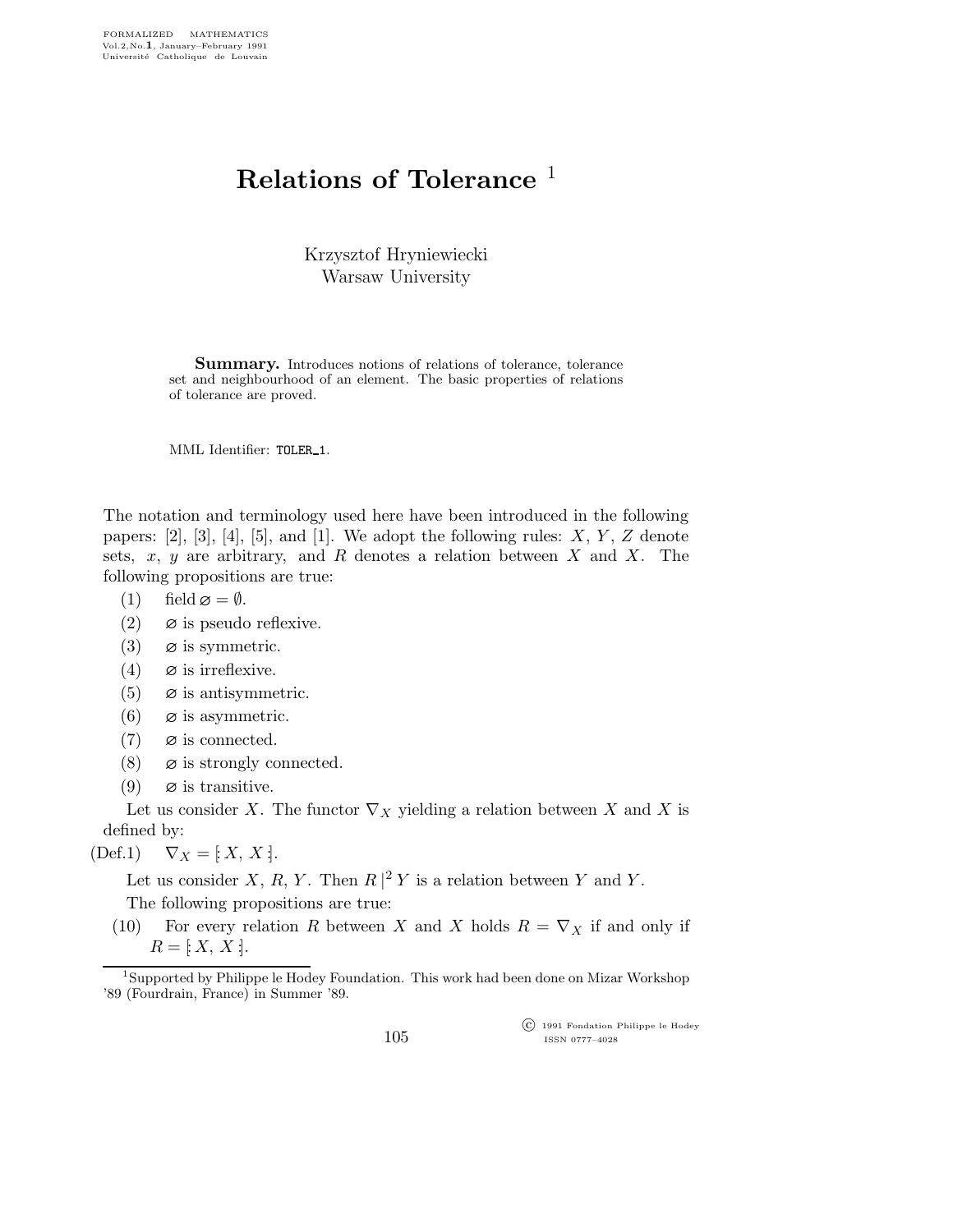## Relations of Tolerance<sup>1</sup>

Krzysztof Hryniewiecki Warsaw University

Summary. Introduces notions of relations of tolerance, tolerance set and neighbourhood of an element. The basic properties of relations of tolerance are proved.

MML Identifier: TOLER\_1.

The notation and terminology used here have been introduced in the following papers:  $[2]$ ,  $[3]$ ,  $[4]$ ,  $[5]$ , and  $[1]$ . We adopt the following rules:  $X, Y, Z$  denote sets,  $x, y$  are arbitrary, and R denotes a relation between X and X. The following propositions are true:

(1) field  $\varnothing = \emptyset$ .

- (2)  $\varnothing$  is pseudo reflexive.
- (3)  $\varnothing$  is symmetric.
- (4)  $\varnothing$  is irreflexive.
- (5)  $\varnothing$  is antisymmetric.
- (6)  $\varnothing$  is asymmetric.
- (7)  $\varnothing$  is connected.
- (8)  $\varnothing$  is strongly connected.
- (9)  $\varnothing$  is transitive.

Let us consider X. The functor  $\nabla_X$  yielding a relation between X and X is defined by:

 $(\text{Def.1}) \quad \nabla_X = [X, X].$ 

Let us consider X, R, Y. Then  $R \nvert^2 Y$  is a relation between Y and Y.

The following propositions are true:

(10) For every relation R between X and X holds  $R = \nabla_X$  if and only if  $R = [X, X].$ 

105

 c 1991 Fondation Philippe le Hodey ISSN 0777–4028

<sup>&</sup>lt;sup>1</sup>Supported by Philippe le Hodey Foundation. This work had been done on Mizar Workshop '89 (Fourdrain, France) in Summer '89.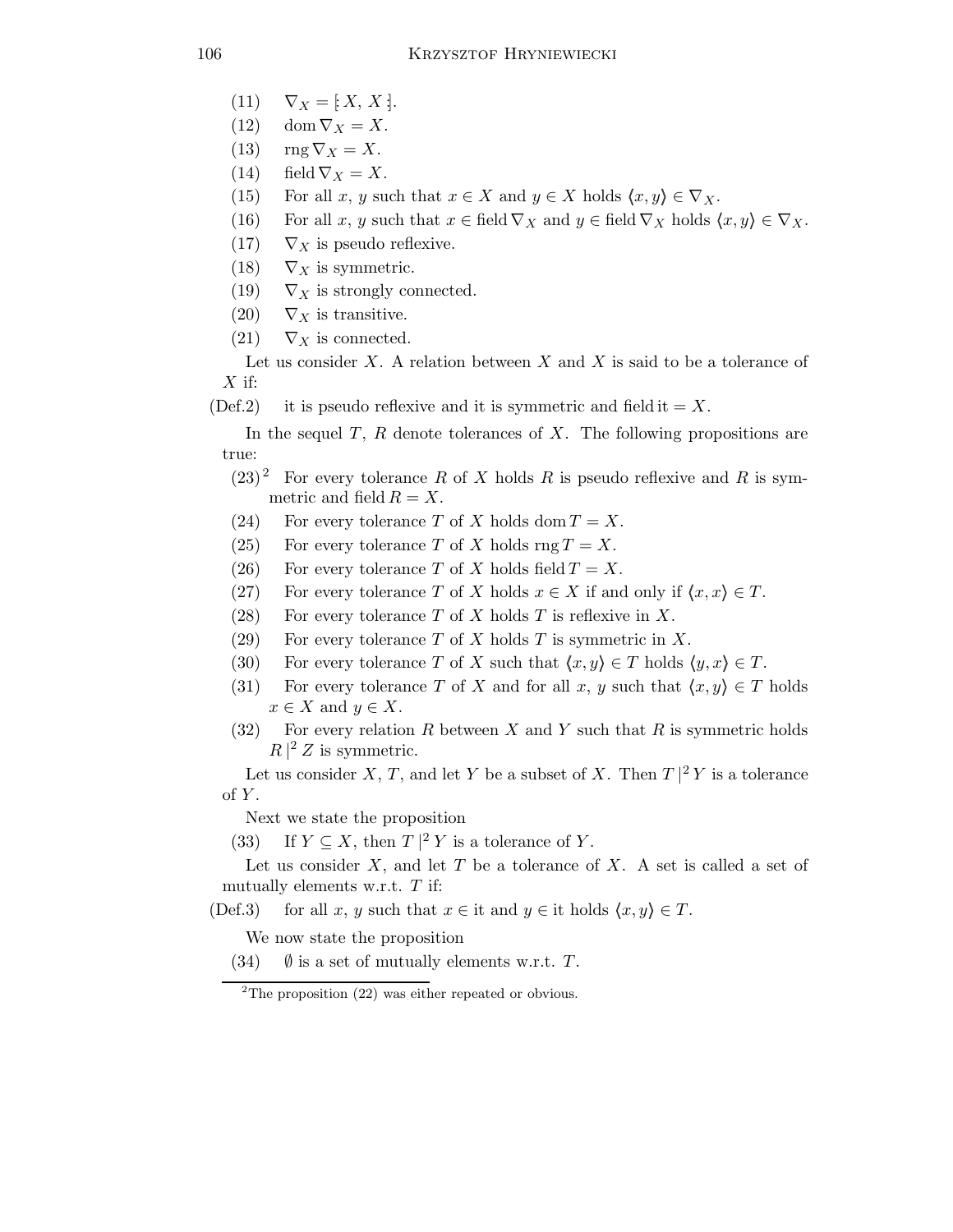$$
(11) \quad \nabla_X = [X, X].
$$

(12) dom  $\nabla_X = X$ .

- (13)  $\text{rng }\nabla_X=X.$
- (14) field  $\nabla_X = X$ .
- (15) For all x, y such that  $x \in X$  and  $y \in X$  holds  $\langle x, y \rangle \in \nabla_X$ .
- (16) For all x, y such that  $x \in \text{field } \nabla_X$  and  $y \in \text{field } \nabla_X$  holds  $\langle x, y \rangle \in \nabla_X$ .
- (17)  $\nabla_X$  is pseudo reflexive.
- (18)  $\nabla_X$  is symmetric.
- (19)  $\nabla_X$  is strongly connected.
- (20)  $\nabla_X$  is transitive.
- $(21)$   $\nabla_X$  is connected.

Let us consider  $X$ . A relation between  $X$  and  $X$  is said to be a tolerance of  $X$  if:

(Def.2) it is pseudo reflexive and it is symmetric and field it  $=X$ .

In the sequel  $T$ ,  $R$  denote tolerances of  $X$ . The following propositions are true:

- $(23)^2$  For every tolerance R of X holds R is pseudo reflexive and R is symmetric and field  $R = X$ .
- (24) For every tolerance T of X holds dom  $T = X$ .
- (25) For every tolerance T of X holds rng  $T = X$ .
- (26) For every tolerance T of X holds field  $T = X$ .
- (27) For every tolerance T of X holds  $x \in X$  if and only if  $\langle x, x \rangle \in T$ .
- (28) For every tolerance T of X holds T is reflexive in X.
- (29) For every tolerance T of X holds T is symmetric in X.
- (30) For every tolerance T of X such that  $\langle x,y \rangle \in T$  holds  $\langle y,x \rangle \in T$ .
- (31) For every tolerance T of X and for all x, y such that  $\langle x, y \rangle \in T$  holds  $x \in X$  and  $y \in X$ .
- (32) For every relation R between X and Y such that R is symmetric holds  $R \nvert^2 Z$  is symmetric.

Let us consider X, T, and let Y be a subset of X. Then  $T|^2 Y$  is a tolerance  $of Y.$ 

Next we state the proposition

(33) If  $Y \subseteq X$ , then  $T |^2 Y$  is a tolerance of Y.

Let us consider  $X$ , and let  $T$  be a tolerance of  $X$ . A set is called a set of mutually elements w.r.t.  $T$  if:

(Def.3) for all x, y such that  $x \in \text{it}$  and  $y \in \text{it}$  holds  $\langle x, y \rangle \in T$ .

We now state the proposition

(34)  $\emptyset$  is a set of mutually elements w.r.t. T.

 $2$ The proposition  $(22)$  was either repeated or obvious.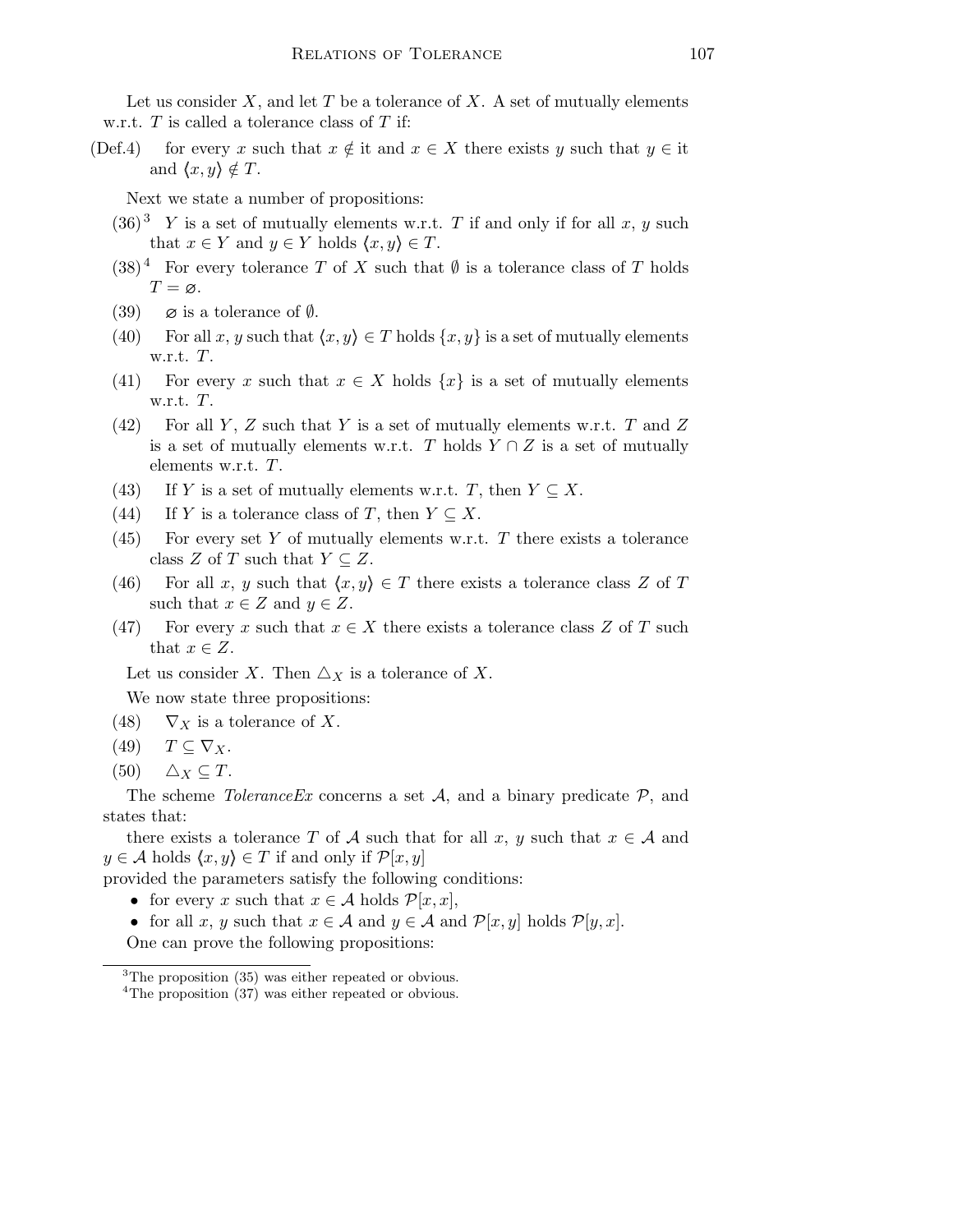Let us consider  $X$ , and let  $T$  be a tolerance of  $X$ . A set of mutually elements w.r.t.  $T$  is called a tolerance class of  $T$  if:

(Def.4) for every x such that  $x \notin \mathbb{R}$  it and  $x \in X$  there exists y such that  $y \in \mathbb{R}$ and  $\langle x,y \rangle \notin T$ .

Next we state a number of propositions:

- $(36)^3$  Y is a set of mutually elements w.r.t. T if and only if for all x, y such that  $x \in Y$  and  $y \in Y$  holds  $\langle x, y \rangle \in T$ .
- $(38)^4$  For every tolerance T of X such that  $\emptyset$  is a tolerance class of T holds  $T = \varnothing$ .
- (39)  $\varnothing$  is a tolerance of  $\varnothing$ .
- (40) For all x, y such that  $\langle x,y \rangle \in T$  holds  $\{x,y\}$  is a set of mutually elements w.r.t. T.
- (41) For every x such that  $x \in X$  holds  $\{x\}$  is a set of mutually elements w.r.t. T.
- (42) For all Y, Z such that Y is a set of mutually elements w.r.t. T and Z is a set of mutually elements w.r.t. T holds  $Y \cap Z$  is a set of mutually elements w.r.t. T.
- (43) If Y is a set of mutually elements w.r.t. T, then  $Y \subseteq X$ .
- (44) If Y is a tolerance class of T, then  $Y \subseteq X$ .
- (45) For every set Y of mutually elements w.r.t. T there exists a tolerance class Z of T such that  $Y \subseteq Z$ .
- (46) For all x, y such that  $\langle x,y \rangle \in T$  there exists a tolerance class Z of T such that  $x \in Z$  and  $y \in Z$ .
- (47) For every x such that  $x \in X$  there exists a tolerance class Z of T such that  $x \in Z$ .

Let us consider X. Then  $\triangle_X$  is a tolerance of X.

We now state three propositions:

- (48)  $\nabla_X$  is a tolerance of X.
- (49)  $T \subseteq \nabla_X$ .
- (50)  $\Delta_X \subseteq T$ .

The scheme *ToleranceEx* concerns a set  $A$ , and a binary predicate  $P$ , and states that:

there exists a tolerance T of A such that for all x, y such that  $x \in A$  and  $y \in \mathcal{A}$  holds  $\langle x, y \rangle \in T$  if and only if  $\mathcal{P}[x, y]$ 

provided the parameters satisfy the following conditions:

• for every x such that  $x \in A$  holds  $\mathcal{P}[x, x]$ ,

• for all x, y such that  $x \in \mathcal{A}$  and  $y \in \mathcal{A}$  and  $\mathcal{P}[x, y]$  holds  $\mathcal{P}[y, x]$ . One can prove the following propositions:

<sup>3</sup>The proposition (35) was either repeated or obvious.

<sup>&</sup>lt;sup>4</sup>The proposition (37) was either repeated or obvious.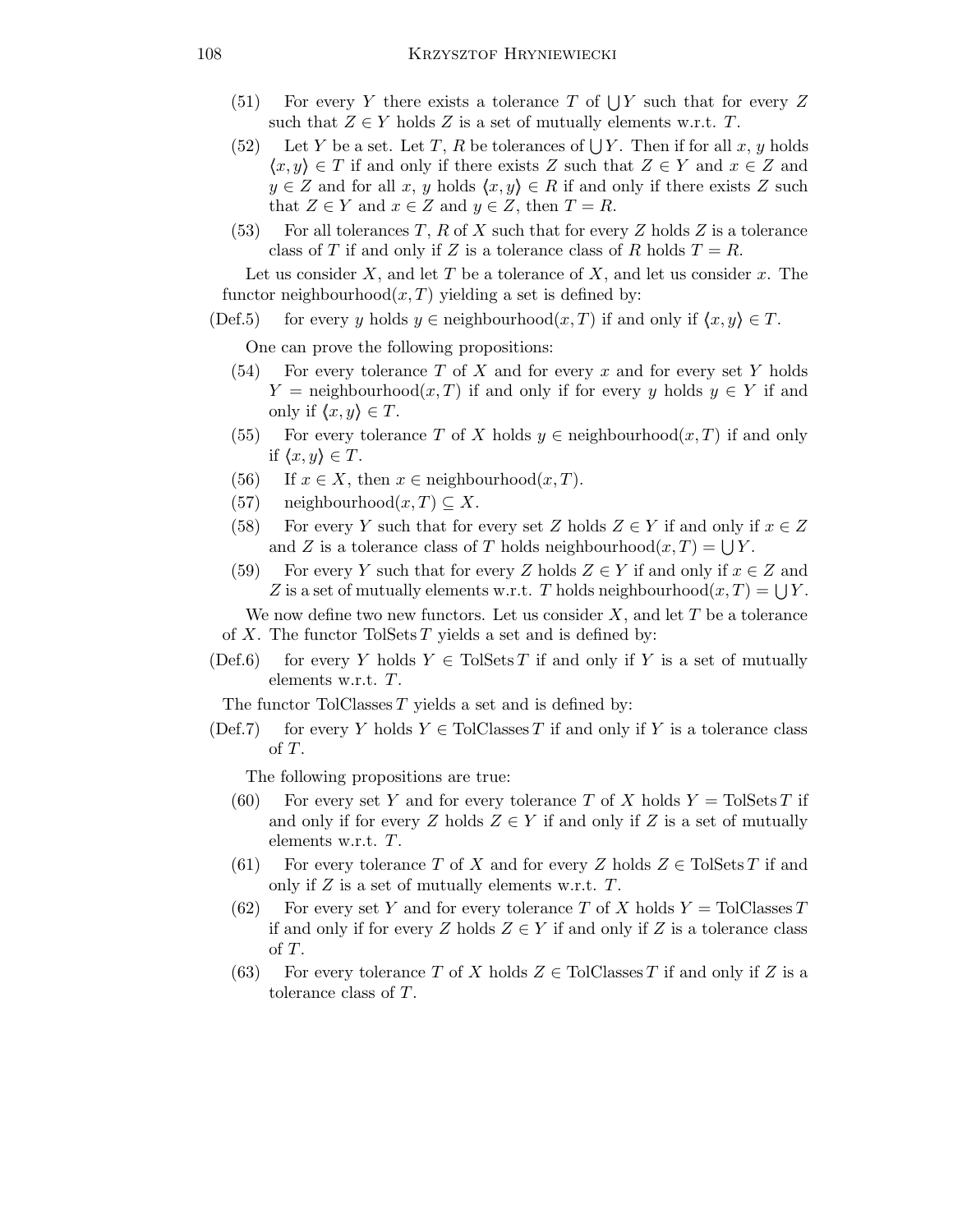- (51) For every Y there exists a tolerance T of  $\bigcup Y$  such that for every Z such that  $Z \in Y$  holds Z is a set of mutually elements w.r.t. T.
- (52) Let Y be a set. Let T, R be tolerances of  $\bigcup Y$ . Then if for all x, y holds  $\langle x,y \rangle \in T$  if and only if there exists Z such that  $Z \in Y$  and  $x \in Z$  and  $y \in Z$  and for all x, y holds  $\langle x,y \rangle \in R$  if and only if there exists Z such that  $Z \in Y$  and  $x \in Z$  and  $y \in Z$ , then  $T = R$ .
- (53) For all tolerances T, R of X such that for every Z holds Z is a tolerance class of T if and only if Z is a tolerance class of R holds  $T = R$ .

Let us consider  $X$ , and let  $T$  be a tolerance of  $X$ , and let us consider  $x$ . The functor neighbourhood $(x, T)$  yielding a set is defined by:

(Def.5) for every y holds  $y \in \text{neighborhood}(x,T)$  if and only if  $\langle x,y \rangle \in T$ .

One can prove the following propositions:

- $(54)$  For every tolerance T of X and for every x and for every set Y holds  $Y = \text{neighborhood}(x, T)$  if and only if for every y holds  $y \in Y$  if and only if  $\langle x,y \rangle \in T$ .
- (55) For every tolerance T of X holds  $y \in \text{neighborhood}(x,T)$  if and only if  $\langle x,y \rangle \in T$ .
- (56) If  $x \in X$ , then  $x \in \text{neighborhood}(x, T)$ .
- (57) neighbourhood $(x,T) \subseteq X$ .
- (58) For every Y such that for every set Z holds  $Z \in Y$  if and only if  $x \in Z$ and Z is a tolerance class of T holds neighbourhood $(x, T) = \bigcup Y$ .
- (59) For every Y such that for every Z holds  $Z \in Y$  if and only if  $x \in Z$  and Z is a set of mutually elements w.r.t. T holds neighbourhood $(x, T) = \bigcup Y$ .

We now define two new functors. Let us consider  $X$ , and let  $T$  be a tolerance of X. The functor TolSets  $T$  yields a set and is defined by:

(Def.6) for every Y holds  $Y \in \text{TolSets } T$  if and only if Y is a set of mutually elements w.r.t. T.

The functor TolClasses  $T$  yields a set and is defined by:

(Def.7) for every Y holds  $Y \in \text{TolClasses } T$  if and only if Y is a tolerance class of T.

The following propositions are true:

- (60) For every set Y and for every tolerance T of X holds  $Y = \text{TolSets } T$  if and only if for every Z holds  $Z \in Y$  if and only if Z is a set of mutually elements w.r.t. T.
- (61) For every tolerance T of X and for every Z holds  $Z \in \text{TolSets } T$  if and only if  $Z$  is a set of mutually elements w.r.t.  $T$ .
- (62) For every set Y and for every tolerance T of X holds  $Y = \text{TolClasses } T$ if and only if for every Z holds  $Z \in Y$  if and only if Z is a tolerance class of T.
- (63) For every tolerance T of X holds  $Z \in \text{ToIClasses } T$  if and only if Z is a tolerance class of T.